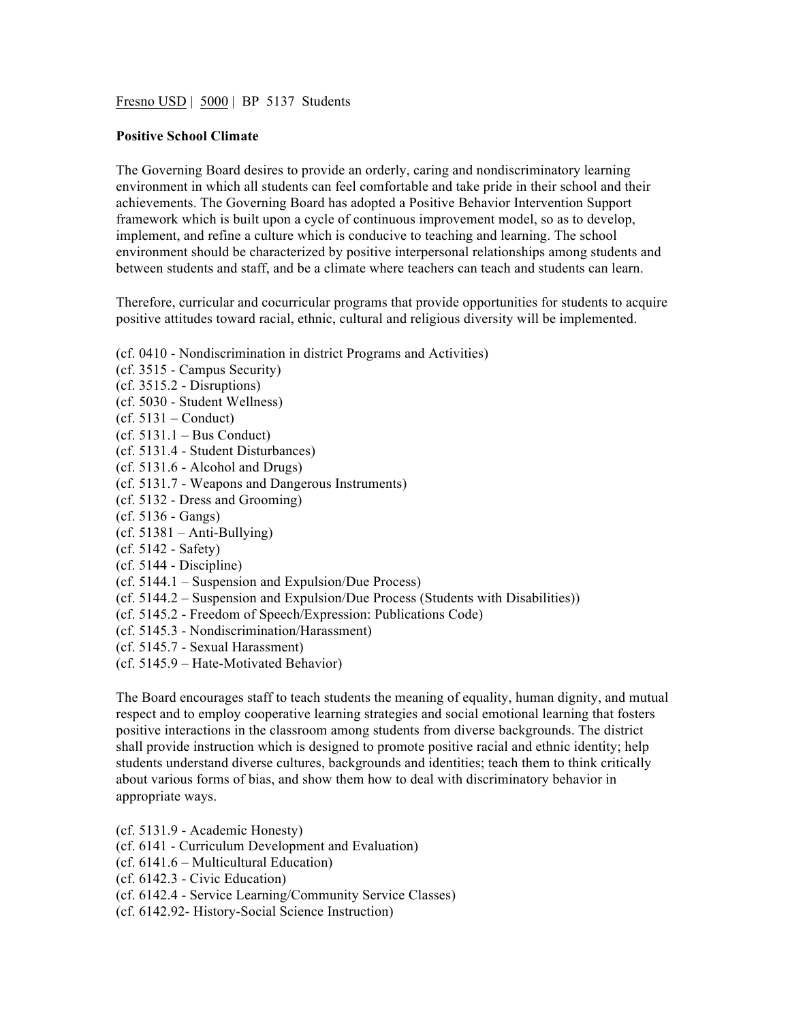Fresno USD | 5000 | BP 5137 Students

## **Positive School Climate**

The Governing Board desires to provide an orderly, caring and nondiscriminatory learning environment in which all students can feel comfortable and take pride in their school and their achievements. The Governing Board has adopted a Positive Behavior Intervention Support framework which is built upon a cycle of continuous improvement model, so as to develop, implement, and refine a culture which is conducive to teaching and learning. The school environment should be characterized by positive interpersonal relationships among students and between students and staff, and be a climate where teachers can teach and students can learn.

Therefore, curricular and cocurricular programs that provide opportunities for students to acquire positive attitudes toward racial, ethnic, cultural and religious diversity will be implemented.

(cf. 0410 - Nondiscrimination in district Programs and Activities)

- (cf. 3515 Campus Security) (cf. 3515.2 - Disruptions) (cf. 5030 - Student Wellness)  $(cf. 5131 - Conduct)$ (cf. 5131.1 – Bus Conduct) (cf. 5131.4 - Student Disturbances) (cf. 5131.6 - Alcohol and Drugs) (cf. 5131.7 - Weapons and Dangerous Instruments) (cf. 5132 - Dress and Grooming) (cf. 5136 - Gangs) (cf. 51381 – Anti-Bullying) (cf. 5142 - Safety) (cf. 5144 - Discipline) (cf. 5144.1 – Suspension and Expulsion/Due Process) (cf. 5144.2 – Suspension and Expulsion/Due Process (Students with Disabilities)) (cf. 5145.2 - Freedom of Speech/Expression: Publications Code)
- (cf. 5145.3 Nondiscrimination/Harassment)
- (cf. 5145.7 Sexual Harassment)
- (cf. 5145.9 Hate-Motivated Behavior)

The Board encourages staff to teach students the meaning of equality, human dignity, and mutual respect and to employ cooperative learning strategies and social emotional learning that fosters positive interactions in the classroom among students from diverse backgrounds. The district shall provide instruction which is designed to promote positive racial and ethnic identity; help students understand diverse cultures, backgrounds and identities; teach them to think critically about various forms of bias, and show them how to deal with discriminatory behavior in appropriate ways.

(cf. 5131.9 - Academic Honesty)

- (cf. 6141 Curriculum Development and Evaluation)
- (cf. 6141.6 Multicultural Education)
- (cf. 6142.3 Civic Education)
- (cf. 6142.4 Service Learning/Community Service Classes)
- (cf. 6142.92- History-Social Science Instruction)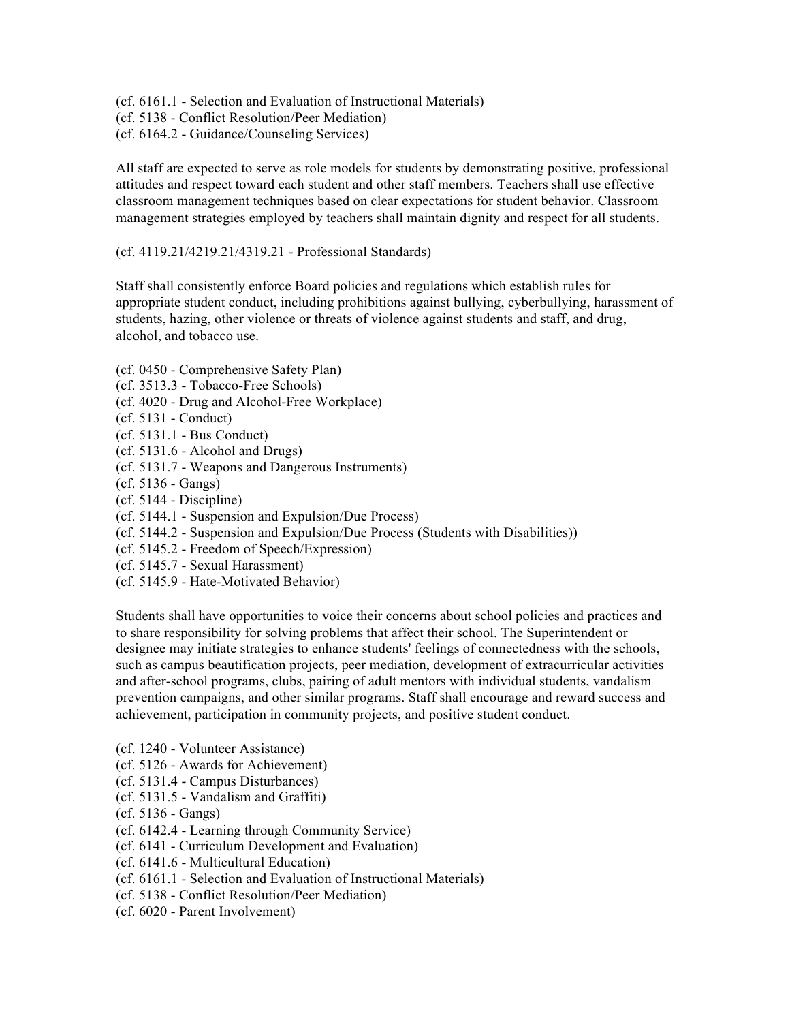(cf. 6161.1 - Selection and Evaluation of Instructional Materials)

- (cf. 5138 Conflict Resolution/Peer Mediation)
- (cf. 6164.2 Guidance/Counseling Services)

All staff are expected to serve as role models for students by demonstrating positive, professional attitudes and respect toward each student and other staff members. Teachers shall use effective classroom management techniques based on clear expectations for student behavior. Classroom management strategies employed by teachers shall maintain dignity and respect for all students.

(cf. 4119.21/4219.21/4319.21 - Professional Standards)

Staff shall consistently enforce Board policies and regulations which establish rules for appropriate student conduct, including prohibitions against bullying, cyberbullying, harassment of students, hazing, other violence or threats of violence against students and staff, and drug, alcohol, and tobacco use.

- (cf. 0450 Comprehensive Safety Plan)
- (cf. 3513.3 Tobacco-Free Schools)
- (cf. 4020 Drug and Alcohol-Free Workplace)
- (cf. 5131 Conduct)
- (cf. 5131.1 Bus Conduct)
- (cf. 5131.6 Alcohol and Drugs)
- (cf. 5131.7 Weapons and Dangerous Instruments)
- (cf. 5136 Gangs)
- (cf. 5144 Discipline)
- (cf. 5144.1 Suspension and Expulsion/Due Process)
- (cf. 5144.2 Suspension and Expulsion/Due Process (Students with Disabilities))
- (cf. 5145.2 Freedom of Speech/Expression)
- (cf. 5145.7 Sexual Harassment)
- (cf. 5145.9 Hate-Motivated Behavior)

Students shall have opportunities to voice their concerns about school policies and practices and to share responsibility for solving problems that affect their school. The Superintendent or designee may initiate strategies to enhance students' feelings of connectedness with the schools, such as campus beautification projects, peer mediation, development of extracurricular activities and after-school programs, clubs, pairing of adult mentors with individual students, vandalism prevention campaigns, and other similar programs. Staff shall encourage and reward success and achievement, participation in community projects, and positive student conduct.

- (cf. 1240 Volunteer Assistance)
- (cf. 5126 Awards for Achievement)
- (cf. 5131.4 Campus Disturbances)
- (cf. 5131.5 Vandalism and Graffiti)
- (cf. 5136 Gangs)
- (cf. 6142.4 Learning through Community Service)
- (cf. 6141 Curriculum Development and Evaluation)
- (cf. 6141.6 Multicultural Education)
- (cf. 6161.1 Selection and Evaluation of Instructional Materials)
- (cf. 5138 Conflict Resolution/Peer Mediation)
- (cf. 6020 Parent Involvement)